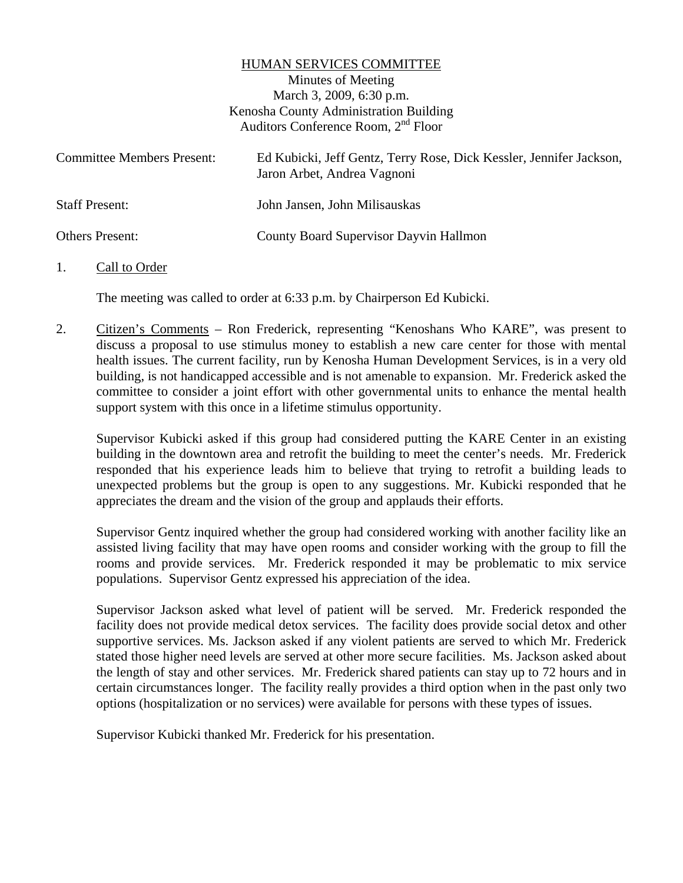#### HUMAN SERVICES COMMITTEE

Minutes of Meeting March 3, 2009, 6:30 p.m. Kenosha County Administration Building Auditors Conference Room, 2nd Floor

| <b>Committee Members Present:</b> | Ed Kubicki, Jeff Gentz, Terry Rose, Dick Kessler, Jennifer Jackson,<br>Jaron Arbet, Andrea Vagnoni |
|-----------------------------------|----------------------------------------------------------------------------------------------------|
| <b>Staff Present:</b>             | John Jansen, John Milisauskas                                                                      |
| <b>Others Present:</b>            | County Board Supervisor Dayvin Hallmon                                                             |

#### 1. Call to Order

The meeting was called to order at 6:33 p.m. by Chairperson Ed Kubicki.

2. Citizen's Comments – Ron Frederick, representing "Kenoshans Who KARE", was present to discuss a proposal to use stimulus money to establish a new care center for those with mental health issues. The current facility, run by Kenosha Human Development Services, is in a very old building, is not handicapped accessible and is not amenable to expansion. Mr. Frederick asked the committee to consider a joint effort with other governmental units to enhance the mental health support system with this once in a lifetime stimulus opportunity.

Supervisor Kubicki asked if this group had considered putting the KARE Center in an existing building in the downtown area and retrofit the building to meet the center's needs. Mr. Frederick responded that his experience leads him to believe that trying to retrofit a building leads to unexpected problems but the group is open to any suggestions. Mr. Kubicki responded that he appreciates the dream and the vision of the group and applauds their efforts.

Supervisor Gentz inquired whether the group had considered working with another facility like an assisted living facility that may have open rooms and consider working with the group to fill the rooms and provide services. Mr. Frederick responded it may be problematic to mix service populations. Supervisor Gentz expressed his appreciation of the idea.

Supervisor Jackson asked what level of patient will be served. Mr. Frederick responded the facility does not provide medical detox services. The facility does provide social detox and other supportive services. Ms. Jackson asked if any violent patients are served to which Mr. Frederick stated those higher need levels are served at other more secure facilities. Ms. Jackson asked about the length of stay and other services. Mr. Frederick shared patients can stay up to 72 hours and in certain circumstances longer. The facility really provides a third option when in the past only two options (hospitalization or no services) were available for persons with these types of issues.

Supervisor Kubicki thanked Mr. Frederick for his presentation.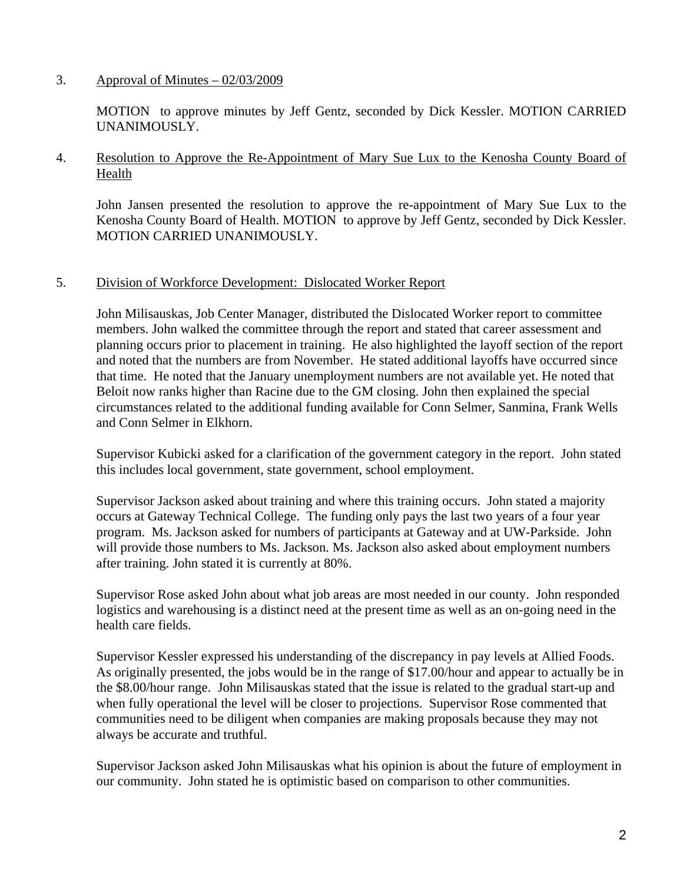# 3. Approval of Minutes  $-02/03/2009$

 MOTION to approve minutes by Jeff Gentz, seconded by Dick Kessler. MOTION CARRIED UNANIMOUSLY.

### 4. Resolution to Approve the Re-Appointment of Mary Sue Lux to the Kenosha County Board of Health

John Jansen presented the resolution to approve the re-appointment of Mary Sue Lux to the Kenosha County Board of Health. MOTION to approve by Jeff Gentz, seconded by Dick Kessler. MOTION CARRIED UNANIMOUSLY.

# 5. Division of Workforce Development: Dislocated Worker Report

John Milisauskas, Job Center Manager, distributed the Dislocated Worker report to committee members. John walked the committee through the report and stated that career assessment and planning occurs prior to placement in training. He also highlighted the layoff section of the report and noted that the numbers are from November. He stated additional layoffs have occurred since that time. He noted that the January unemployment numbers are not available yet. He noted that Beloit now ranks higher than Racine due to the GM closing. John then explained the special circumstances related to the additional funding available for Conn Selmer, Sanmina, Frank Wells and Conn Selmer in Elkhorn.

Supervisor Kubicki asked for a clarification of the government category in the report. John stated this includes local government, state government, school employment.

Supervisor Jackson asked about training and where this training occurs. John stated a majority occurs at Gateway Technical College. The funding only pays the last two years of a four year program. Ms. Jackson asked for numbers of participants at Gateway and at UW-Parkside. John will provide those numbers to Ms. Jackson. Ms. Jackson also asked about employment numbers after training. John stated it is currently at 80%.

Supervisor Rose asked John about what job areas are most needed in our county. John responded logistics and warehousing is a distinct need at the present time as well as an on-going need in the health care fields.

Supervisor Kessler expressed his understanding of the discrepancy in pay levels at Allied Foods. As originally presented, the jobs would be in the range of \$17.00/hour and appear to actually be in the \$8.00/hour range. John Milisauskas stated that the issue is related to the gradual start-up and when fully operational the level will be closer to projections. Supervisor Rose commented that communities need to be diligent when companies are making proposals because they may not always be accurate and truthful.

Supervisor Jackson asked John Milisauskas what his opinion is about the future of employment in our community. John stated he is optimistic based on comparison to other communities.